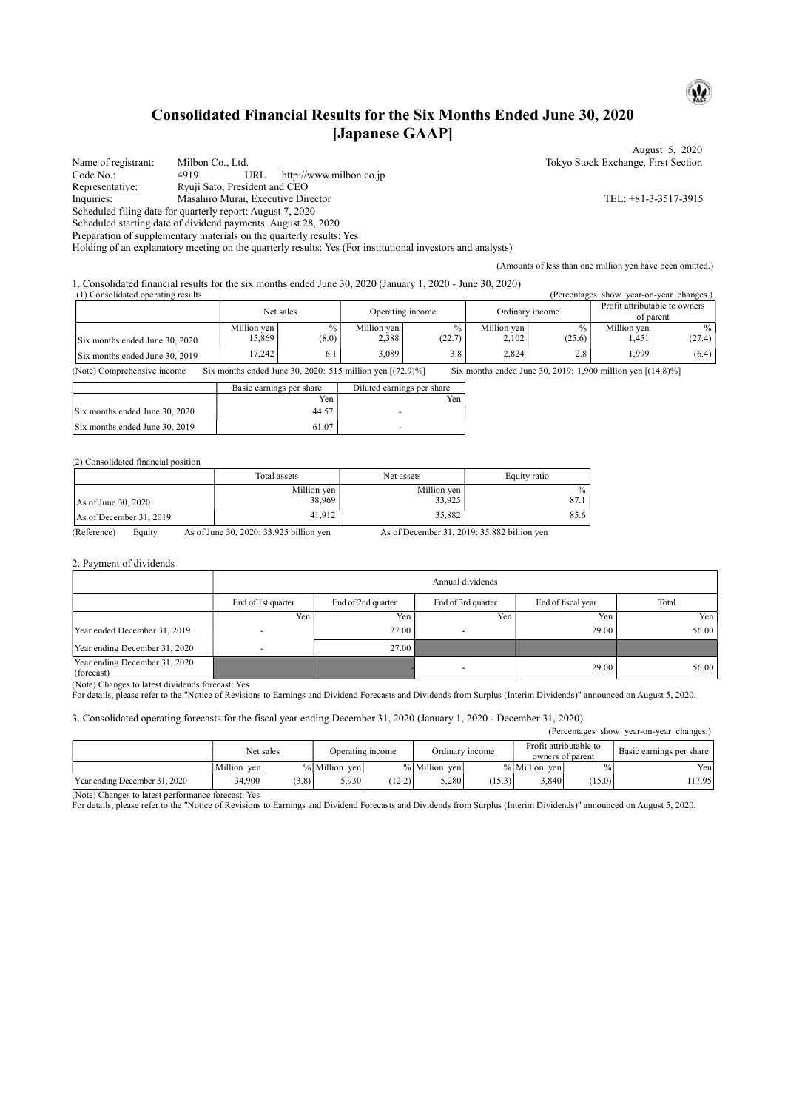# Consolidated Financial Results for the Six Months Ended June 30, 2020 [Japanese GAAP]

August 5, 2020 Name of registrant: Milbon Co., Ltd. Tokyo Stock Exchange, First Section Code No.: 4919 URL http://www.milbon.co.jp Representative: Ryuji Sato, President and CEO Inquiries: Masahiro Murai, Executive Director TEL: +81-3-3517-3915 Scheduled filing date for quarterly report: August 7, 2020 Scheduled starting date of dividend payments: August 28, 2020

Preparation of supplementary materials on the quarterly results: Yes

Holding of an explanatory meeting on the quarterly results: Yes (For institutional investors and analysts)

(Amounts of less than one million yen have been omitted.)

1. Consolidated financial results for the six months ended June 30, 2020 (January 1, 2020 - June 30, 2020)

| (1) Consolidated operating results<br>(Percentages show)<br>vear-on-vear changes.) |             |       |                  |               |                 |        |                                            |               |
|------------------------------------------------------------------------------------|-------------|-------|------------------|---------------|-----------------|--------|--------------------------------------------|---------------|
|                                                                                    | Net sales   |       | Operating income |               | Ordinary income |        | Profit attributable to owners<br>of parent |               |
|                                                                                    | Million ven | $\%$  | Million ven      | $\frac{0}{0}$ | Million ven     | $\%$   | Million ven                                | $\frac{0}{0}$ |
| Six months ended June 30, 2020                                                     | 15,869      | (8.0) | 2,388            | (22.7)        | 2.102           | (25.6) | . 451                                      | (27.4)        |
| Six months ended June 30, 2019                                                     | 17.242      | 6.1   | 3.089            | 3.8           | 2.824           | 2.8    | 1,999                                      | (6.4)         |

(Note) Comprehensive income Six months ended June 30, 2020: 515 million yen [(72.9)%] Six months ended June 30, 2019: 1,900 million yen [(14.8)%]

|                                | Basic earnings per share | Diluted earnings per share |
|--------------------------------|--------------------------|----------------------------|
|                                | Yen                      | Yen                        |
| Six months ended June 30, 2020 | 44.57                    | -                          |
| Six months ended June 30, 2019 | 61.07                    |                            |

#### (2) Consolidated financial position

|                         | Total assets | Net assets  | Equity ratio |
|-------------------------|--------------|-------------|--------------|
|                         | Million yen  | Million yen | $\%$         |
| As of June 30, 2020     | 38.969       | 33.925      | 87.1         |
| As of December 31, 2019 | 41.912       | 35,882      | 85.6         |

(Reference) Equity As of June 30, 2020: 33.925 billion yen As of December 31, 2019: 35.882 billion yen

#### 2. Payment of dividends

|                                             | Annual dividends   |                    |                    |                    |       |  |  |
|---------------------------------------------|--------------------|--------------------|--------------------|--------------------|-------|--|--|
|                                             | End of 1st quarter | End of 2nd quarter | End of 3rd quarter | End of fiscal year | Total |  |  |
|                                             | Yen,               | Yen                | Yen                | Yen,               | Yen   |  |  |
| Year ended December 31, 2019                |                    | 27.00              |                    | 29.00              | 56.00 |  |  |
| Year ending December 31, 2020               |                    | 27.00              |                    |                    |       |  |  |
| Year ending December 31, 2020<br>(forecast) |                    |                    | $\overline{a}$     | 29.00              | 56.00 |  |  |

(Note) Changes to latest dividends forecast: Yes

For details, please refer to the "Notice of Revisions to Earnings and Dividend Forecasts and Dividends from Surplus (Interim Dividends)" announced on August 5, 2020.

#### 3. Consolidated operating forecasts for the fiscal year ending December 31, 2020 (January 1, 2020 - December 31, 2020)

| (Percentages show)<br>year-on-year changes.) |             |       |                  |        |                 |        |                                            |               |                          |
|----------------------------------------------|-------------|-------|------------------|--------|-----------------|--------|--------------------------------------------|---------------|--------------------------|
|                                              | Net sales   |       | Operating income |        | Ordinary income |        | Profit attributable to<br>owners of parent |               | Basic earnings per share |
|                                              | Million ven |       | % Million ven    |        | % Million ven   |        | % Million ven                              | $\frac{0}{0}$ | Yen                      |
| Year ending December 31, 2020                | 34.900      | (3.8) | 5.930            | (12.2) | 5.280           | (15.3) | 3.840                                      | (15.0)        | 117.95                   |

(Note) Changes to latest performance forecast: Yes

For details, please refer to the "Notice of Revisions to Earnings and Dividend Forecasts and Dividends from Surplus (Interim Dividends)" announced on August 5, 2020.

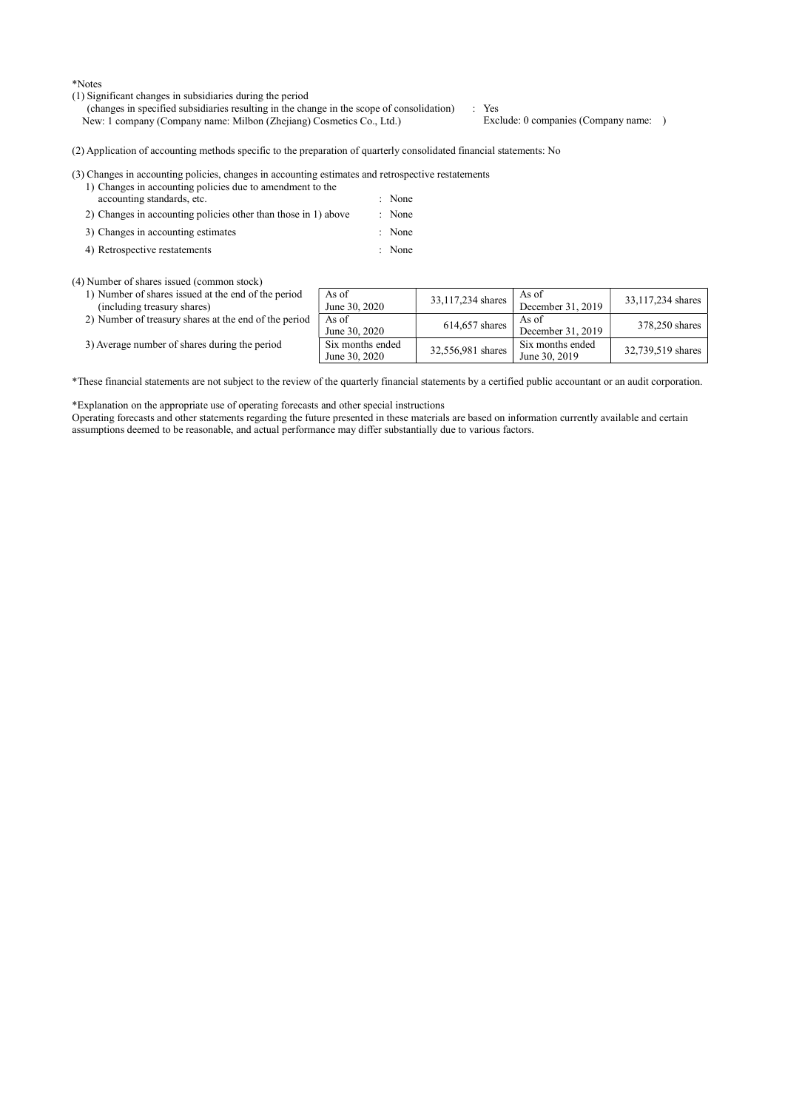\*Notes

- (1) Significant changes in subsidiaries during the period
	- (changes in specified subsidiaries resulting in the change in the scope of consolidation) : Yes<br>New: 1 company (Company name: Milbon (Zhejiang) Cosmetics Co., Ltd.) Exclude: 0 companies (Company name: ) New: 1 company (Company name: Milbon (Zhejiang) Cosmetics Co., Ltd.)

(2) Application of accounting methods specific to the preparation of quarterly consolidated financial statements: No

(3) Changes in accounting policies, changes in accounting estimates and retrospective restatements

- 1) Changes in accounting policies due to amendment to the accounting standards, etc.  $\blacksquare$  : None
- 2) Changes in accounting policies other than those in 1) above : None
- 3) Changes in accounting estimates : None
- 4) Retrospective restatements : None

(4) Number of shares issued (common stock)

- 1) Number of shares issued at the end of the period (including treasury shares)
- 2) Number of treasury shares at the end of the peri
- 3) Average number of shares during the period

|    | As of<br>June 30, 2020            | 33,117,234 shares | As of<br>December 31, 2019        | 33,117,234 shares |
|----|-----------------------------------|-------------------|-----------------------------------|-------------------|
| od | As of<br>June 30, 2020            | 614,657 shares    | As of<br>December 31, 2019        | 378,250 shares    |
|    | Six months ended<br>June 30, 2020 | 32,556,981 shares | Six months ended<br>June 30, 2019 | 32,739,519 shares |

\*These financial statements are not subject to the review of the quarterly financial statements by a certified public accountant or an audit corporation.

\*Explanation on the appropriate use of operating forecasts and other special instructions

Operating forecasts and other statements regarding the future presented in these materials are based on information currently available and certain assumptions deemed to be reasonable, and actual performance may differ substantially due to various factors.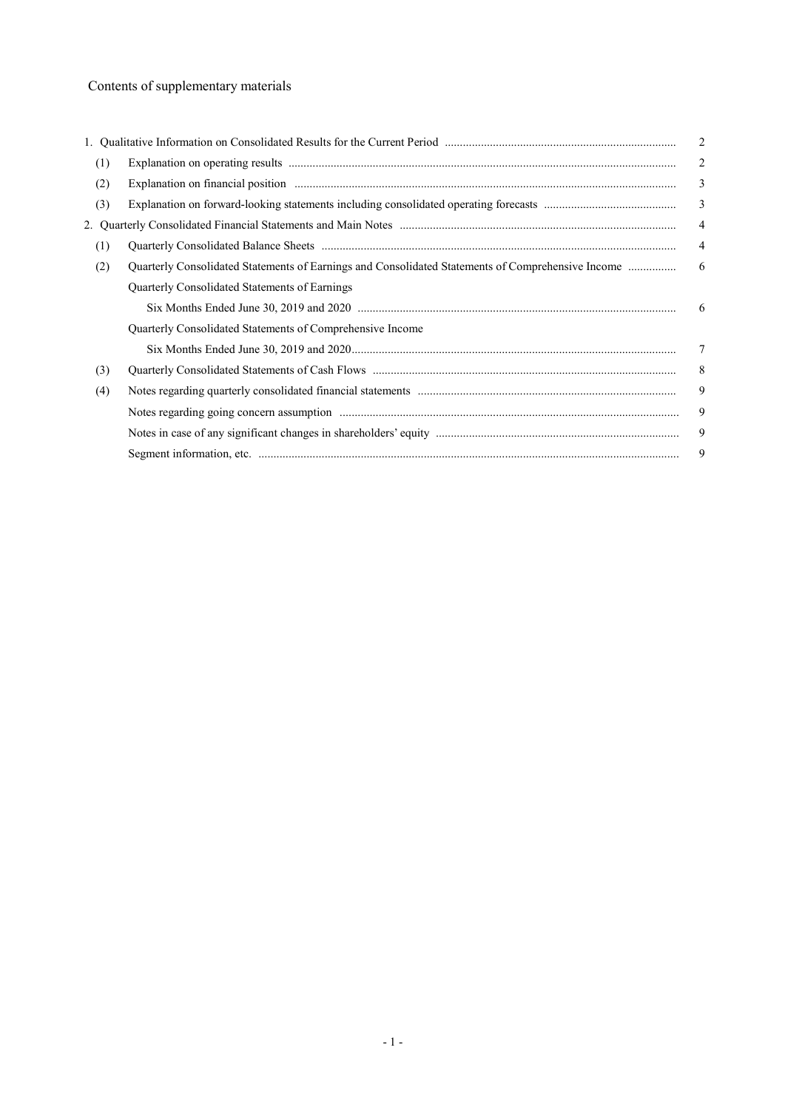# Contents of supplementary materials

|     |                                                                                                   | $\overline{2}$ |
|-----|---------------------------------------------------------------------------------------------------|----------------|
| (1) |                                                                                                   | 2              |
| (2) |                                                                                                   | 3              |
| (3) |                                                                                                   | $\mathfrak{Z}$ |
|     |                                                                                                   | $\overline{4}$ |
| (1) |                                                                                                   | $\overline{4}$ |
| (2) | Quarterly Consolidated Statements of Earnings and Consolidated Statements of Comprehensive Income | 6              |
|     | Quarterly Consolidated Statements of Earnings                                                     |                |
|     |                                                                                                   |                |
|     | Quarterly Consolidated Statements of Comprehensive Income                                         |                |
|     |                                                                                                   | 7              |
| (3) |                                                                                                   | 8              |
| (4) |                                                                                                   | 9              |
|     |                                                                                                   | 9              |
|     |                                                                                                   | 9              |
|     |                                                                                                   | 9              |
|     |                                                                                                   |                |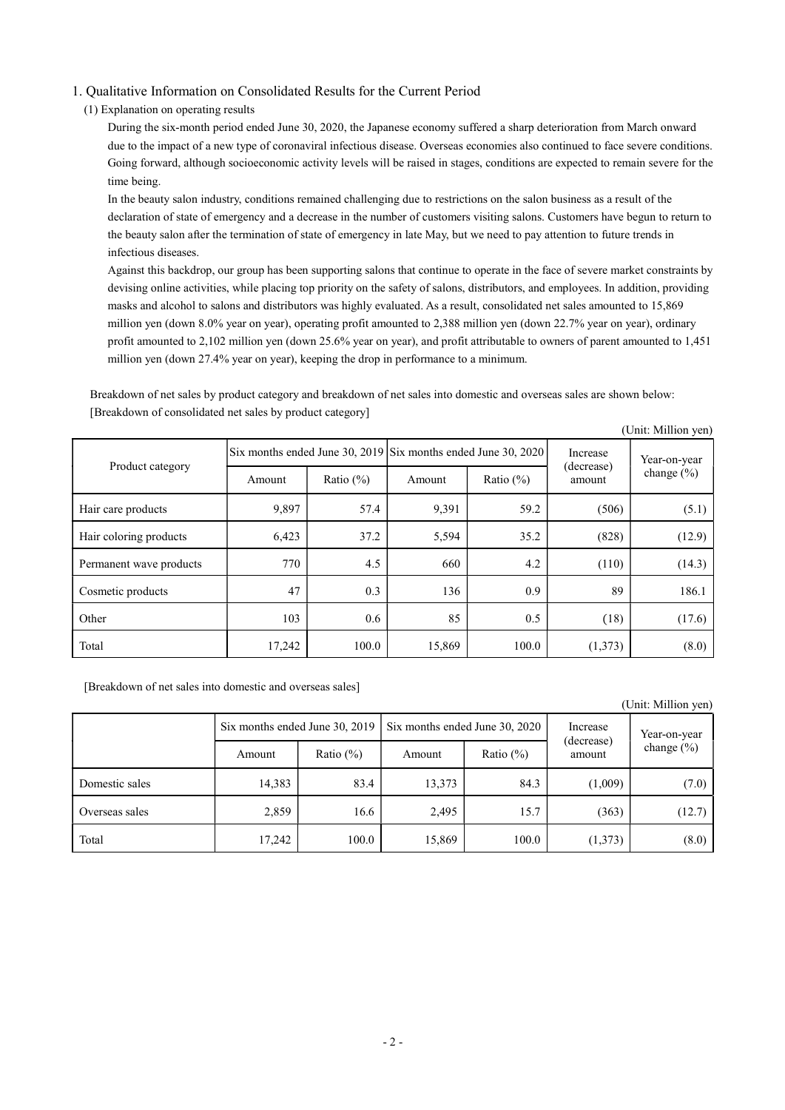# 1. Qualitative Information on Consolidated Results for the Current Period

## (1) Explanation on operating results

During the six-month period ended June 30, 2020, the Japanese economy suffered a sharp deterioration from March onward due to the impact of a new type of coronaviral infectious disease. Overseas economies also continued to face severe conditions. Going forward, although socioeconomic activity levels will be raised in stages, conditions are expected to remain severe for the time being.

In the beauty salon industry, conditions remained challenging due to restrictions on the salon business as a result of the declaration of state of emergency and a decrease in the number of customers visiting salons. Customers have begun to return to the beauty salon after the termination of state of emergency in late May, but we need to pay attention to future trends in infectious diseases.

Against this backdrop, our group has been supporting salons that continue to operate in the face of severe market constraints by devising online activities, while placing top priority on the safety of salons, distributors, and employees. In addition, providing masks and alcohol to salons and distributors was highly evaluated. As a result, consolidated net sales amounted to 15,869 million yen (down 8.0% year on year), operating profit amounted to 2,388 million yen (down 22.7% year on year), ordinary profit amounted to 2,102 million yen (down 25.6% year on year), and profit attributable to owners of parent amounted to 1,451 million yen (down 27.4% year on year), keeping the drop in performance to a minimum.

Breakdown of net sales by product category and breakdown of net sales into domestic and overseas sales are shown below: [Breakdown of consolidated net sales by product category]

|                         |        |               |                                                                                  |               |                      | (Unit: Million yen)            |
|-------------------------|--------|---------------|----------------------------------------------------------------------------------|---------------|----------------------|--------------------------------|
| Product category        |        |               | $\text{Six months ended June } 30, 2019 \text{ Six months ended June } 30, 2020$ |               | Increase             | Year-on-year<br>change $(\% )$ |
|                         | Amount | Ratio $(\% )$ | Amount                                                                           | Ratio $(\% )$ | (decrease)<br>amount |                                |
| Hair care products      | 9,897  | 57.4          | 9,391                                                                            | 59.2          | (506)                | (5.1)                          |
| Hair coloring products  | 6,423  | 37.2          | 5,594                                                                            | 35.2          | (828)                | (12.9)                         |
| Permanent wave products | 770    | 4.5           | 660                                                                              | 4.2           | (110)                | (14.3)                         |
| Cosmetic products       | 47     | 0.3           | 136                                                                              | 0.9           | 89                   | 186.1                          |
| Other                   | 103    | 0.6           | 85                                                                               | 0.5           | (18)                 | (17.6)                         |
| Total                   | 17,242 | 100.0         | 15,869                                                                           | 100.0         | (1,373)              | (8.0)                          |

[Breakdown of net sales into domestic and overseas sales]

|                |                                |              |                                |               |                      | (Unit: Million yen) |
|----------------|--------------------------------|--------------|--------------------------------|---------------|----------------------|---------------------|
|                | Six months ended June 30, 2019 |              | Six months ended June 30, 2020 |               | Increase             | Year-on-year        |
|                | Amount                         | Ratio $(\%)$ | Amount                         | Ratio $(\% )$ | (decrease)<br>amount | change $(\% )$      |
| Domestic sales | 14,383                         | 83.4         | 13,373                         | 84.3          | (1,009)              | (7.0)               |
| Overseas sales | 2,859                          | 16.6         | 2,495                          | 15.7          | (363)                | (12.7)              |
| Total          | 17,242                         | 100.0        | 15,869                         | 100.0         | (1,373)              | (8.0)               |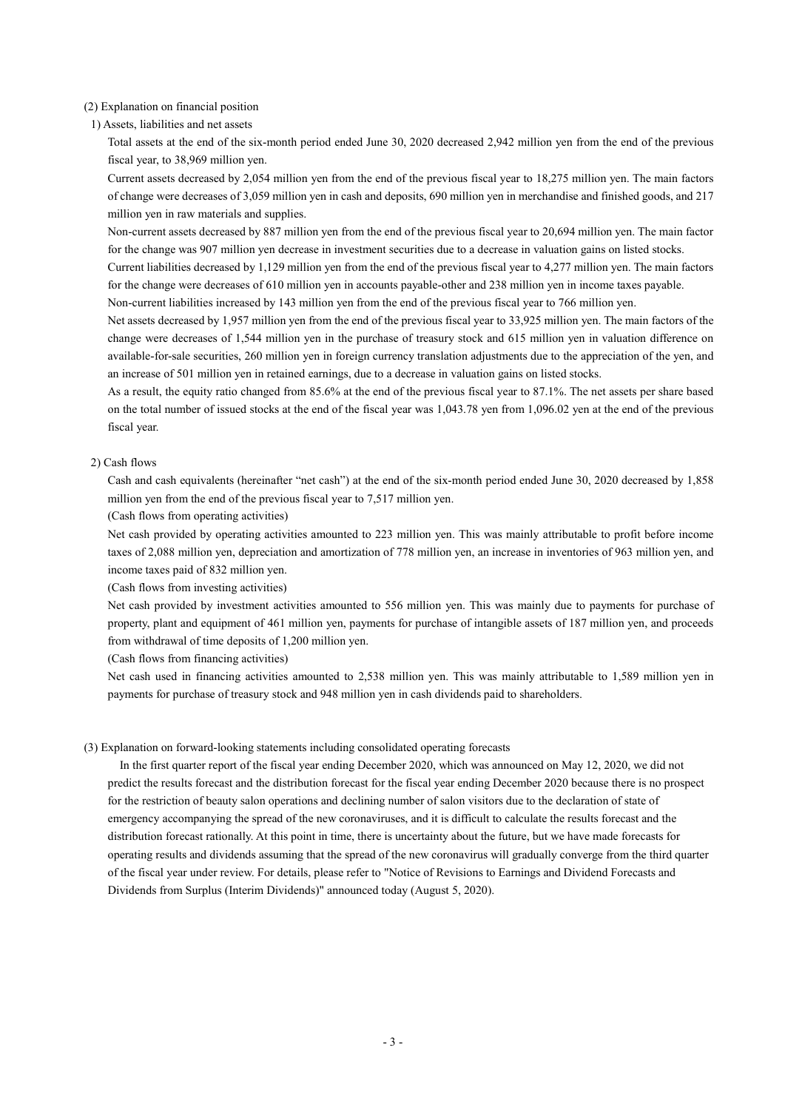### (2) Explanation on financial position

1) Assets, liabilities and net assets

Total assets at the end of the six-month period ended June 30, 2020 decreased 2,942 million yen from the end of the previous fiscal year, to 38,969 million yen.

Current assets decreased by 2,054 million yen from the end of the previous fiscal year to 18,275 million yen. The main factors of change were decreases of 3,059 million yen in cash and deposits, 690 million yen in merchandise and finished goods, and 217 million yen in raw materials and supplies.

Non-current assets decreased by 887 million yen from the end of the previous fiscal year to 20,694 million yen. The main factor for the change was 907 million yen decrease in investment securities due to a decrease in valuation gains on listed stocks.

Current liabilities decreased by 1,129 million yen from the end of the previous fiscal year to 4,277 million yen. The main factors for the change were decreases of 610 million yen in accounts payable-other and 238 million yen in income taxes payable.

Non-current liabilities increased by 143 million yen from the end of the previous fiscal year to 766 million yen.

Net assets decreased by 1,957 million yen from the end of the previous fiscal year to 33,925 million yen. The main factors of the change were decreases of 1,544 million yen in the purchase of treasury stock and 615 million yen in valuation difference on available-for-sale securities, 260 million yen in foreign currency translation adjustments due to the appreciation of the yen, and an increase of 501 million yen in retained earnings, due to a decrease in valuation gains on listed stocks.

As a result, the equity ratio changed from 85.6% at the end of the previous fiscal year to 87.1%. The net assets per share based on the total number of issued stocks at the end of the fiscal year was 1,043.78 yen from 1,096.02 yen at the end of the previous fiscal year.

### 2) Cash flows

Cash and cash equivalents (hereinafter "net cash") at the end of the six-month period ended June 30, 2020 decreased by 1,858 million yen from the end of the previous fiscal year to 7,517 million yen.

(Cash flows from operating activities)

Net cash provided by operating activities amounted to 223 million yen. This was mainly attributable to profit before income taxes of 2,088 million yen, depreciation and amortization of 778 million yen, an increase in inventories of 963 million yen, and income taxes paid of 832 million yen.

(Cash flows from investing activities)

Net cash provided by investment activities amounted to 556 million yen. This was mainly due to payments for purchase of property, plant and equipment of 461 million yen, payments for purchase of intangible assets of 187 million yen, and proceeds from withdrawal of time deposits of 1,200 million yen.

(Cash flows from financing activities)

Net cash used in financing activities amounted to 2,538 million yen. This was mainly attributable to 1,589 million yen in payments for purchase of treasury stock and 948 million yen in cash dividends paid to shareholders.

### (3) Explanation on forward-looking statements including consolidated operating forecasts

In the first quarter report of the fiscal year ending December 2020, which was announced on May 12, 2020, we did not predict the results forecast and the distribution forecast for the fiscal year ending December 2020 because there is no prospect for the restriction of beauty salon operations and declining number of salon visitors due to the declaration of state of emergency accompanying the spread of the new coronaviruses, and it is difficult to calculate the results forecast and the distribution forecast rationally. At this point in time, there is uncertainty about the future, but we have made forecasts for operating results and dividends assuming that the spread of the new coronavirus will gradually converge from the third quarter of the fiscal year under review. For details, please refer to "Notice of Revisions to Earnings and Dividend Forecasts and Dividends from Surplus (Interim Dividends)" announced today (August 5, 2020).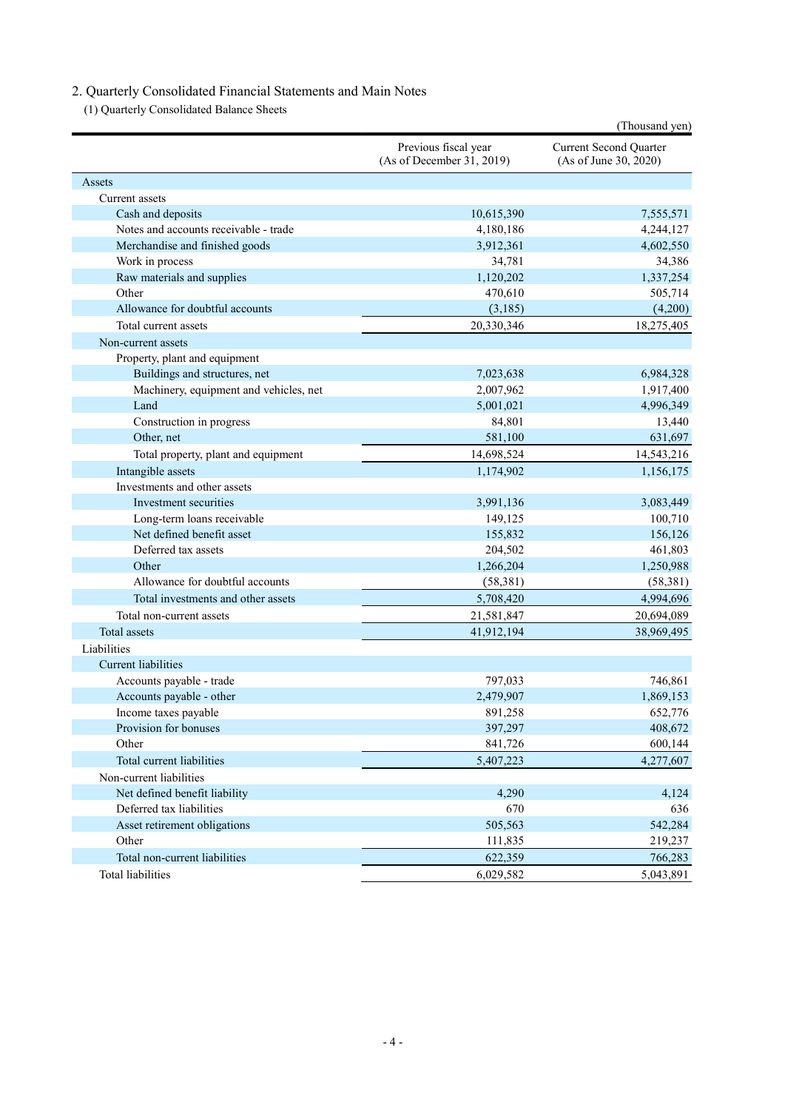# 2. Quarterly Consolidated Financial Statements and Main Notes

(1) Quarterly Consolidated Balance Sheets

|                                        |                                                   | (Thousand yen)                                         |
|----------------------------------------|---------------------------------------------------|--------------------------------------------------------|
|                                        | Previous fiscal year<br>(As of December 31, 2019) | <b>Current Second Quarter</b><br>(As of June 30, 2020) |
| Assets                                 |                                                   |                                                        |
| Current assets                         |                                                   |                                                        |
| Cash and deposits                      | 10,615,390                                        | 7,555,571                                              |
| Notes and accounts receivable - trade  | 4,180,186                                         | 4,244,127                                              |
| Merchandise and finished goods         | 3,912,361                                         | 4,602,550                                              |
| Work in process                        | 34,781                                            | 34,386                                                 |
| Raw materials and supplies             | 1,120,202                                         | 1,337,254                                              |
| Other                                  | 470,610                                           | 505,714                                                |
| Allowance for doubtful accounts        | (3,185)                                           | (4,200)                                                |
| Total current assets                   | 20,330,346                                        | 18,275,405                                             |
| Non-current assets                     |                                                   |                                                        |
| Property, plant and equipment          |                                                   |                                                        |
| Buildings and structures, net          | 7,023,638                                         | 6,984,328                                              |
| Machinery, equipment and vehicles, net | 2,007,962                                         | 1,917,400                                              |
| Land                                   | 5,001,021                                         | 4,996,349                                              |
| Construction in progress               | 84,801                                            | 13,440                                                 |
| Other, net                             | 581,100                                           | 631,697                                                |
| Total property, plant and equipment    | 14,698,524                                        | 14,543,216                                             |
| Intangible assets                      | 1,174,902                                         | 1,156,175                                              |
| Investments and other assets           |                                                   |                                                        |
| Investment securities                  | 3,991,136                                         | 3,083,449                                              |
| Long-term loans receivable             | 149,125                                           | 100,710                                                |
| Net defined benefit asset              | 155,832                                           | 156,126                                                |
| Deferred tax assets                    | 204,502                                           | 461,803                                                |
| Other                                  | 1,266,204                                         | 1,250,988                                              |
| Allowance for doubtful accounts        | (58,381)                                          | (58, 381)                                              |
| Total investments and other assets     | 5,708,420                                         | 4,994,696                                              |
| Total non-current assets               | 21,581,847                                        | 20,694,089                                             |
| Total assets                           | 41,912,194                                        | 38,969,495                                             |
| Liabilities                            |                                                   |                                                        |
| <b>Current liabilities</b>             |                                                   |                                                        |
| Accounts payable - trade               | 797,033                                           | 746.861                                                |
| Accounts payable - other               | 2,479,907                                         | 1,869,153                                              |
| Income taxes payable                   | 891,258                                           | 652,776                                                |
| Provision for bonuses                  | 397,297                                           | 408,672                                                |
| Other                                  | 841,726                                           | 600,144                                                |
| Total current liabilities              | 5,407,223                                         | 4,277,607                                              |
| Non-current liabilities                |                                                   |                                                        |
| Net defined benefit liability          | 4,290                                             | 4,124                                                  |
| Deferred tax liabilities               | 670                                               | 636                                                    |
| Asset retirement obligations           | 505,563                                           | 542,284                                                |
| Other                                  | 111,835                                           | 219,237                                                |
| Total non-current liabilities          | 622,359                                           | 766,283                                                |
| <b>Total liabilities</b>               | 6,029,582                                         | 5,043,891                                              |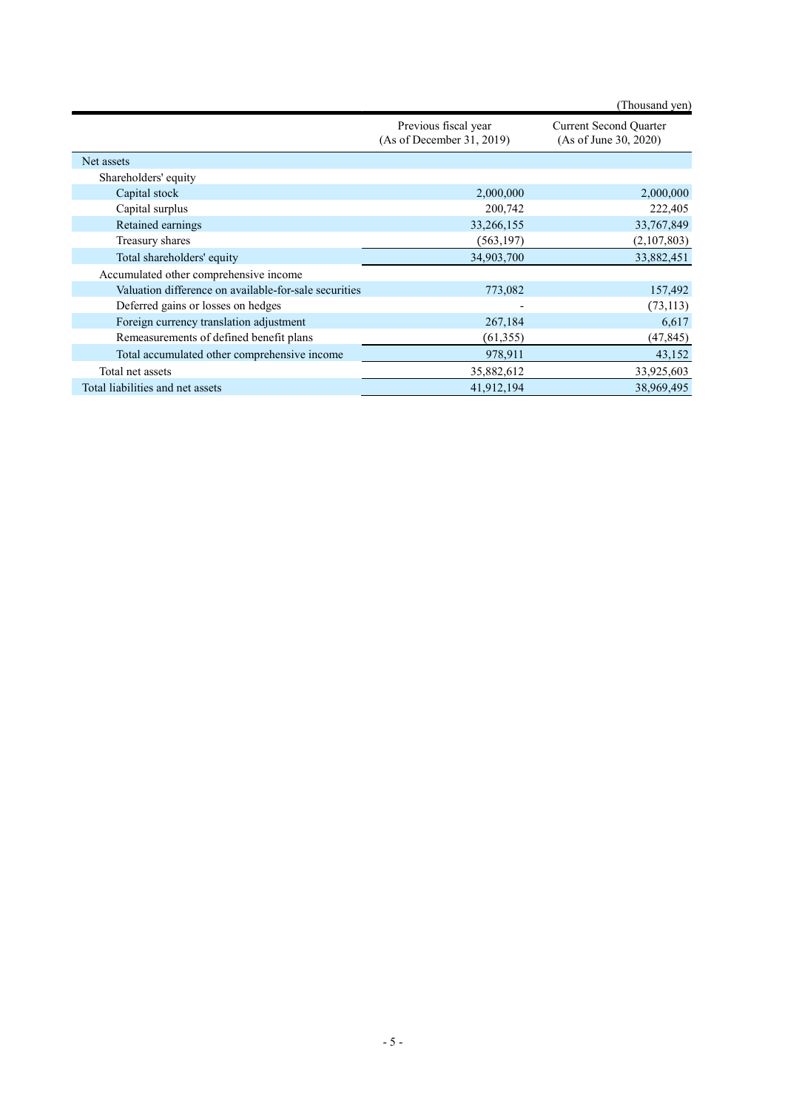|                                                       |                                                   | (Thousand yen)                                         |
|-------------------------------------------------------|---------------------------------------------------|--------------------------------------------------------|
|                                                       | Previous fiscal year<br>(As of December 31, 2019) | <b>Current Second Quarter</b><br>(As of June 30, 2020) |
| Net assets                                            |                                                   |                                                        |
| Shareholders' equity                                  |                                                   |                                                        |
| Capital stock                                         | 2,000,000                                         | 2,000,000                                              |
| Capital surplus                                       | 200,742                                           | 222,405                                                |
| Retained earnings                                     | 33,266,155                                        | 33,767,849                                             |
| Treasury shares                                       | (563, 197)                                        | (2,107,803)                                            |
| Total shareholders' equity                            | 34,903,700                                        | 33,882,451                                             |
| Accumulated other comprehensive income                |                                                   |                                                        |
| Valuation difference on available-for-sale securities | 773,082                                           | 157,492                                                |
| Deferred gains or losses on hedges                    |                                                   | (73, 113)                                              |
| Foreign currency translation adjustment               | 267,184                                           | 6,617                                                  |
| Remeasurements of defined benefit plans               | (61, 355)                                         | (47, 845)                                              |
| Total accumulated other comprehensive income          | 978,911                                           | 43,152                                                 |
| Total net assets                                      | 35,882,612                                        | 33,925,603                                             |
| Total liabilities and net assets                      | 41,912,194                                        | 38,969,495                                             |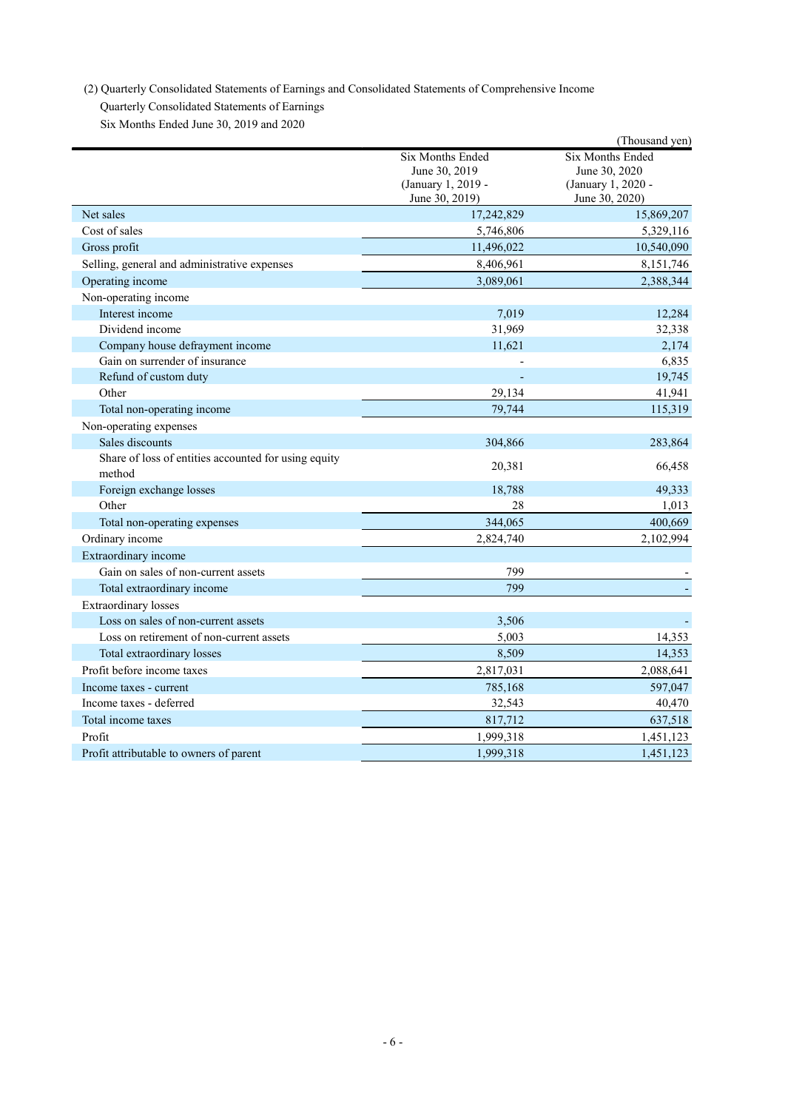(2) Quarterly Consolidated Statements of Earnings and Consolidated Statements of Comprehensive Income

Quarterly Consolidated Statements of Earnings

Six Months Ended June 30, 2019 and 2020

|                                                                |                                                         | (Thousand yen)                                          |
|----------------------------------------------------------------|---------------------------------------------------------|---------------------------------------------------------|
|                                                                | Six Months Ended<br>June 30, 2019<br>(January 1, 2019 - | Six Months Ended<br>June 30, 2020<br>(January 1, 2020 - |
| Net sales                                                      | June 30, 2019)                                          | June 30, 2020)                                          |
| Cost of sales                                                  | 17,242,829<br>5,746,806                                 | 15,869,207<br>5,329,116                                 |
| Gross profit                                                   | 11,496,022                                              |                                                         |
| Selling, general and administrative expenses                   | 8,406,961                                               | 10,540,090                                              |
| Operating income                                               | 3,089,061                                               | 8, 151, 746<br>2,388,344                                |
| Non-operating income                                           |                                                         |                                                         |
| Interest income                                                | 7,019                                                   | 12,284                                                  |
| Dividend income                                                | 31,969                                                  | 32,338                                                  |
| Company house defrayment income                                | 11,621                                                  | 2,174                                                   |
| Gain on surrender of insurance                                 |                                                         | 6,835                                                   |
| Refund of custom duty                                          |                                                         | 19,745                                                  |
| Other                                                          | 29,134                                                  | 41,941                                                  |
| Total non-operating income                                     | 79,744                                                  | 115,319                                                 |
| Non-operating expenses                                         |                                                         |                                                         |
| Sales discounts                                                | 304,866                                                 | 283,864                                                 |
| Share of loss of entities accounted for using equity<br>method | 20,381                                                  | 66,458                                                  |
| Foreign exchange losses                                        | 18,788                                                  | 49,333                                                  |
| Other                                                          | 28                                                      | 1,013                                                   |
| Total non-operating expenses                                   | 344,065                                                 | 400,669                                                 |
| Ordinary income                                                | 2,824,740                                               | 2,102,994                                               |
| Extraordinary income                                           |                                                         |                                                         |
| Gain on sales of non-current assets                            | 799                                                     |                                                         |
| Total extraordinary income                                     | 799                                                     |                                                         |
| <b>Extraordinary</b> losses                                    |                                                         |                                                         |
| Loss on sales of non-current assets                            | 3,506                                                   |                                                         |
| Loss on retirement of non-current assets                       | 5,003                                                   | 14,353                                                  |
| Total extraordinary losses                                     | 8,509                                                   | 14,353                                                  |
| Profit before income taxes                                     | 2,817,031                                               | 2,088,641                                               |
| Income taxes - current                                         | 785,168                                                 | 597,047                                                 |
| Income taxes - deferred                                        | 32,543                                                  | 40,470                                                  |
| Total income taxes                                             | 817,712                                                 | 637,518                                                 |
| Profit                                                         | 1,999,318                                               | 1,451,123                                               |
| Profit attributable to owners of parent                        | 1,999,318                                               | 1,451,123                                               |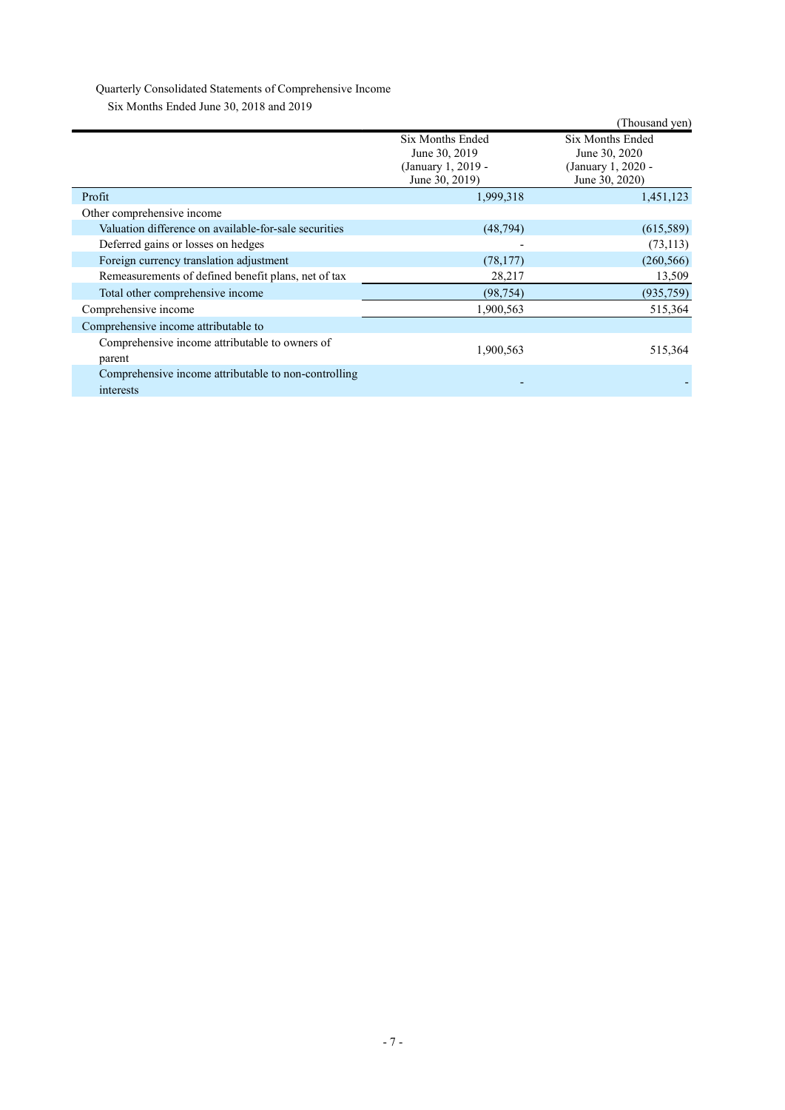# Quarterly Consolidated Statements of Comprehensive Income

Six Months Ended June 30, 2018 and 2019

| $50\%$ informing Emata stand 50, 2010 and 2017                    |                                                                           |                                                                           |
|-------------------------------------------------------------------|---------------------------------------------------------------------------|---------------------------------------------------------------------------|
|                                                                   |                                                                           | (Thousand yen)                                                            |
|                                                                   | Six Months Ended<br>June 30, 2019<br>(January 1, 2019 -<br>June 30, 2019) | Six Months Ended<br>June 30, 2020<br>(January 1, 2020 -<br>June 30, 2020) |
| Profit                                                            | 1,999,318                                                                 | 1,451,123                                                                 |
| Other comprehensive income                                        |                                                                           |                                                                           |
| Valuation difference on available-for-sale securities             | (48, 794)                                                                 | (615,589)                                                                 |
| Deferred gains or losses on hedges                                |                                                                           | (73, 113)                                                                 |
| Foreign currency translation adjustment                           | (78, 177)                                                                 | (260, 566)                                                                |
| Remeasurements of defined benefit plans, net of tax               | 28,217                                                                    | 13,509                                                                    |
| Total other comprehensive income                                  | (98, 754)                                                                 | (935, 759)                                                                |
| Comprehensive income                                              | 1,900,563                                                                 | 515,364                                                                   |
| Comprehensive income attributable to                              |                                                                           |                                                                           |
| Comprehensive income attributable to owners of<br>parent          | 1,900,563                                                                 | 515,364                                                                   |
| Comprehensive income attributable to non-controlling<br>interests |                                                                           |                                                                           |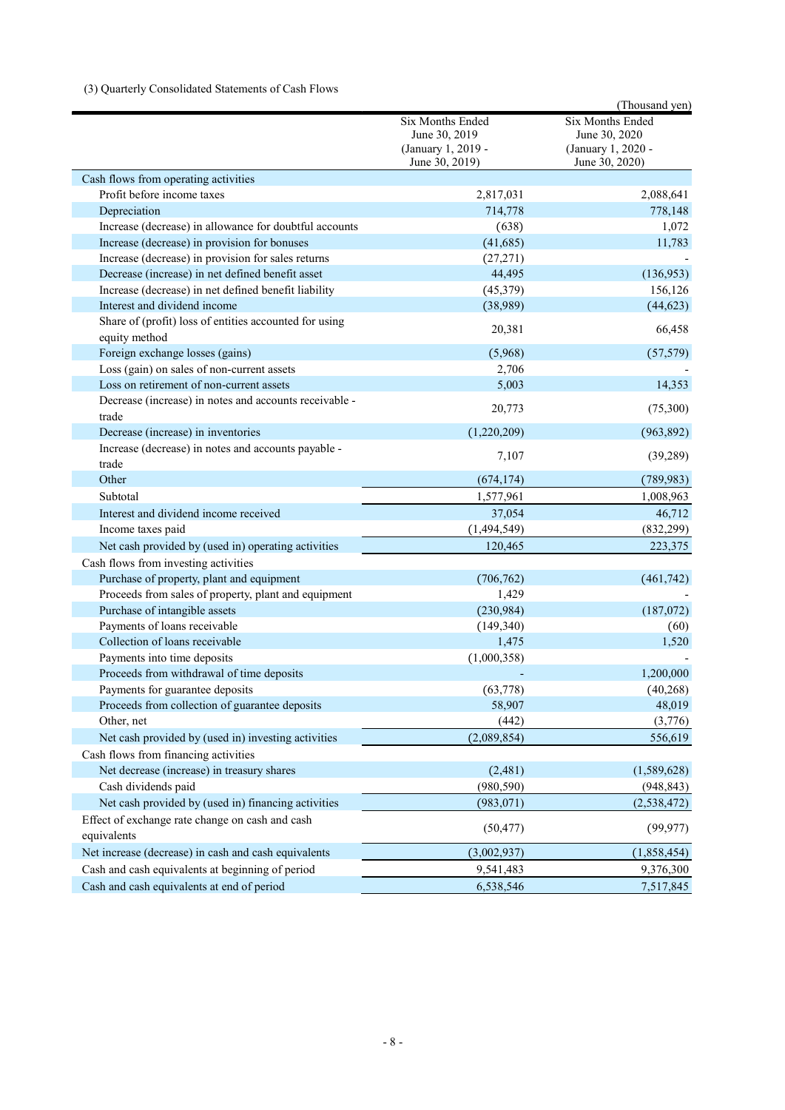# (3) Quarterly Consolidated Statements of Cash Flows

|                                                                         |                                                                           | (Thousand yen)                                                                   |
|-------------------------------------------------------------------------|---------------------------------------------------------------------------|----------------------------------------------------------------------------------|
|                                                                         | Six Months Ended<br>June 30, 2019<br>(January 1, 2019 -<br>June 30, 2019) | <b>Six Months Ended</b><br>June 30, 2020<br>(January 1, 2020 -<br>June 30, 2020) |
| Cash flows from operating activities                                    |                                                                           |                                                                                  |
| Profit before income taxes                                              | 2,817,031                                                                 | 2,088,641                                                                        |
| Depreciation                                                            | 714,778                                                                   | 778,148                                                                          |
| Increase (decrease) in allowance for doubtful accounts                  | (638)                                                                     | 1,072                                                                            |
| Increase (decrease) in provision for bonuses                            | (41,685)                                                                  | 11,783                                                                           |
| Increase (decrease) in provision for sales returns                      | (27, 271)                                                                 |                                                                                  |
| Decrease (increase) in net defined benefit asset                        | 44,495                                                                    | (136,953)                                                                        |
| Increase (decrease) in net defined benefit liability                    | (45,379)                                                                  | 156,126                                                                          |
| Interest and dividend income                                            | (38,989)                                                                  | (44, 623)                                                                        |
| Share of (profit) loss of entities accounted for using<br>equity method | 20,381                                                                    | 66,458                                                                           |
| Foreign exchange losses (gains)                                         | (5,968)                                                                   | (57, 579)                                                                        |
| Loss (gain) on sales of non-current assets                              | 2,706                                                                     |                                                                                  |
| Loss on retirement of non-current assets                                | 5,003                                                                     | 14,353                                                                           |
| Decrease (increase) in notes and accounts receivable -<br>trade         | 20,773                                                                    | (75,300)                                                                         |
| Decrease (increase) in inventories                                      | (1,220,209)                                                               | (963, 892)                                                                       |
| Increase (decrease) in notes and accounts payable -<br>trade            | 7,107                                                                     | (39, 289)                                                                        |
| Other                                                                   | (674, 174)                                                                | (789, 983)                                                                       |
| Subtotal                                                                | 1,577,961                                                                 | 1,008,963                                                                        |
| Interest and dividend income received                                   | 37,054                                                                    | 46,712                                                                           |
| Income taxes paid                                                       | (1,494,549)                                                               | (832, 299)                                                                       |
| Net cash provided by (used in) operating activities                     | 120,465                                                                   | 223,375                                                                          |
| Cash flows from investing activities                                    |                                                                           |                                                                                  |
| Purchase of property, plant and equipment                               | (706, 762)                                                                | (461,742)                                                                        |
| Proceeds from sales of property, plant and equipment                    | 1,429                                                                     |                                                                                  |
| Purchase of intangible assets                                           | (230,984)                                                                 | (187,072)                                                                        |
| Payments of loans receivable                                            | (149, 340)                                                                | (60)                                                                             |
| Collection of loans receivable                                          | 1,475                                                                     | 1,520                                                                            |
| Payments into time deposits                                             | (1,000,358)                                                               |                                                                                  |
| Proceeds from withdrawal of time deposits                               |                                                                           | 1,200,000                                                                        |
| Payments for guarantee deposits                                         | (63, 778)                                                                 | (40, 268)                                                                        |
| Proceeds from collection of guarantee deposits                          | 58,907                                                                    | 48,019                                                                           |
| Other, net                                                              | (442)                                                                     | (3,776)                                                                          |
| Net cash provided by (used in) investing activities                     | (2,089,854)                                                               | 556,619                                                                          |
| Cash flows from financing activities                                    |                                                                           |                                                                                  |
| Net decrease (increase) in treasury shares                              | (2,481)                                                                   | (1,589,628)                                                                      |
| Cash dividends paid                                                     | (980, 590)                                                                | (948, 843)                                                                       |
| Net cash provided by (used in) financing activities                     | (983, 071)                                                                | (2,538,472)                                                                      |
| Effect of exchange rate change on cash and cash<br>equivalents          | (50, 477)                                                                 | (99, 977)                                                                        |
| Net increase (decrease) in cash and cash equivalents                    | (3,002,937)                                                               | (1,858,454)                                                                      |
| Cash and cash equivalents at beginning of period                        | 9,541,483                                                                 | 9,376,300                                                                        |
| Cash and cash equivalents at end of period                              | 6,538,546                                                                 | 7,517,845                                                                        |